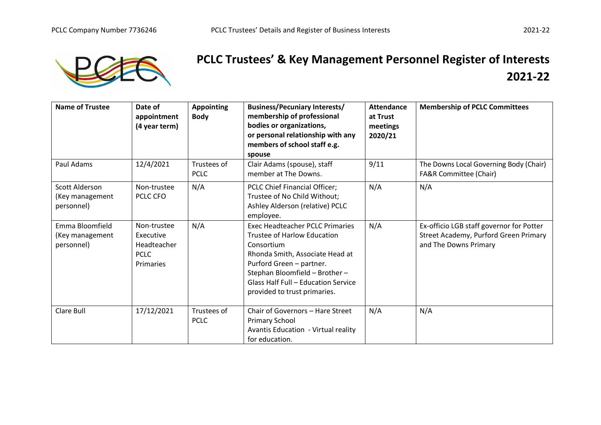

## **PCLC Trustees' & Key Management Personnel Register of Interests 2021-22**

| <b>Name of Trustee</b>                           | Date of<br>appointment<br>(4 year term)                             | <b>Appointing</b><br><b>Body</b> | <b>Business/Pecuniary Interests/</b><br>membership of professional<br>bodies or organizations,<br>or personal relationship with any<br>members of school staff e.g.<br>spouse                                                                                      | <b>Attendance</b><br>at Trust<br>meetings<br>2020/21 | <b>Membership of PCLC Committees</b>                                                                       |
|--------------------------------------------------|---------------------------------------------------------------------|----------------------------------|--------------------------------------------------------------------------------------------------------------------------------------------------------------------------------------------------------------------------------------------------------------------|------------------------------------------------------|------------------------------------------------------------------------------------------------------------|
| Paul Adams                                       | 12/4/2021                                                           | Trustees of<br><b>PCLC</b>       | Clair Adams (spouse), staff<br>member at The Downs.                                                                                                                                                                                                                | 9/11                                                 | The Downs Local Governing Body (Chair)<br>FA&R Committee (Chair)                                           |
| Scott Alderson<br>(Key management<br>personnel)  | Non-trustee<br>PCLC CFO                                             | N/A                              | PCLC Chief Financial Officer;<br>Trustee of No Child Without;<br>Ashley Alderson (relative) PCLC<br>employee.                                                                                                                                                      | N/A                                                  | N/A                                                                                                        |
| Emma Bloomfield<br>(Key management<br>personnel) | Non-trustee<br>Executive<br>Headteacher<br><b>PCLC</b><br>Primaries | N/A                              | <b>Exec Headteacher PCLC Primaries</b><br><b>Trustee of Harlow Education</b><br>Consortium<br>Rhonda Smith, Associate Head at<br>Purford Green - partner.<br>Stephan Bloomfield - Brother -<br>Glass Half Full - Education Service<br>provided to trust primaries. | N/A                                                  | Ex-officio LGB staff governor for Potter<br>Street Academy, Purford Green Primary<br>and The Downs Primary |
| Clare Bull                                       | 17/12/2021                                                          | Trustees of<br><b>PCLC</b>       | Chair of Governors - Hare Street<br><b>Primary School</b><br><b>Avantis Education - Virtual reality</b><br>for education.                                                                                                                                          | N/A                                                  | N/A                                                                                                        |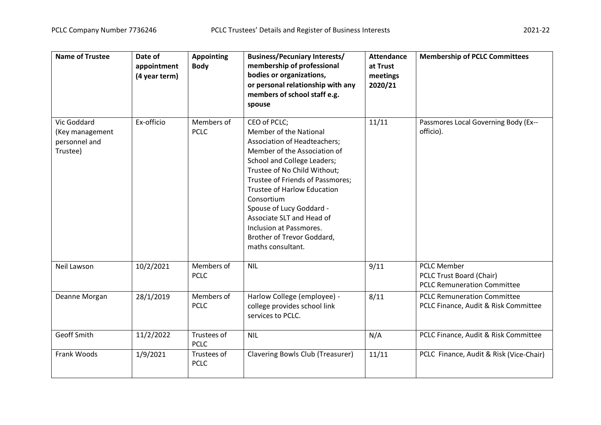| <b>Name of Trustee</b>                                      | Date of<br>appointment<br>(4 year term) | <b>Appointing</b><br><b>Body</b> | <b>Business/Pecuniary Interests/</b><br>membership of professional<br>bodies or organizations,<br>or personal relationship with any<br>members of school staff e.g.<br>spouse                                                                                                                                                                                                                               | <b>Attendance</b><br>at Trust<br>meetings<br>2020/21 | <b>Membership of PCLC Committees</b>                                                 |
|-------------------------------------------------------------|-----------------------------------------|----------------------------------|-------------------------------------------------------------------------------------------------------------------------------------------------------------------------------------------------------------------------------------------------------------------------------------------------------------------------------------------------------------------------------------------------------------|------------------------------------------------------|--------------------------------------------------------------------------------------|
| Vic Goddard<br>(Key management<br>personnel and<br>Trustee) | Ex-officio                              | Members of<br><b>PCLC</b>        | CEO of PCLC;<br>Member of the National<br><b>Association of Headteachers;</b><br>Member of the Association of<br>School and College Leaders;<br>Trustee of No Child Without;<br>Trustee of Friends of Passmores;<br><b>Trustee of Harlow Education</b><br>Consortium<br>Spouse of Lucy Goddard -<br>Associate SLT and Head of<br>Inclusion at Passmores.<br>Brother of Trevor Goddard,<br>maths consultant. | 11/11                                                | Passmores Local Governing Body (Ex--<br>officio).                                    |
| Neil Lawson                                                 | 10/2/2021                               | Members of<br><b>PCLC</b>        | <b>NIL</b>                                                                                                                                                                                                                                                                                                                                                                                                  | 9/11                                                 | <b>PCLC Member</b><br>PCLC Trust Board (Chair)<br><b>PCLC Remuneration Committee</b> |
| Deanne Morgan                                               | 28/1/2019                               | Members of<br><b>PCLC</b>        | Harlow College (employee) -<br>college provides school link<br>services to PCLC.                                                                                                                                                                                                                                                                                                                            | 8/11                                                 | <b>PCLC Remuneration Committee</b><br>PCLC Finance, Audit & Risk Committee           |
| Geoff Smith                                                 | 11/2/2022                               | Trustees of<br><b>PCLC</b>       | <b>NIL</b>                                                                                                                                                                                                                                                                                                                                                                                                  | N/A                                                  | PCLC Finance, Audit & Risk Committee                                                 |
| Frank Woods                                                 | 1/9/2021                                | Trustees of<br><b>PCLC</b>       | Clavering Bowls Club (Treasurer)                                                                                                                                                                                                                                                                                                                                                                            | 11/11                                                | PCLC Finance, Audit & Risk (Vice-Chair)                                              |